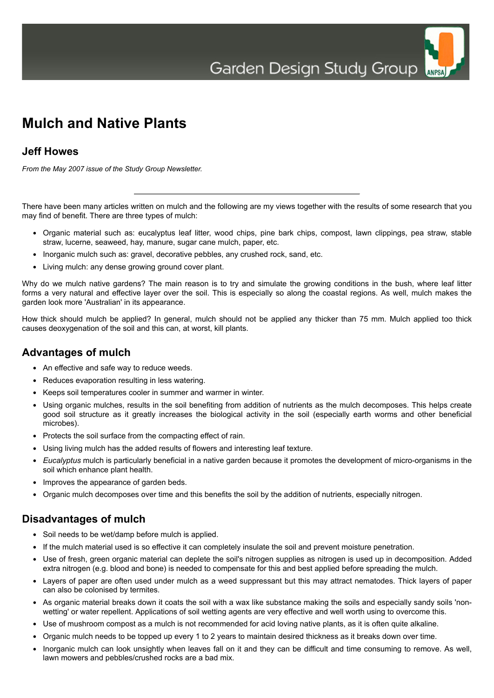ANPSA



#### **Jeff Howes**

*From the May 2007 issue of the Study Group Newsletter.*

There have been many articles written on mulch and the following are my views together with the results of some research that you may find of benefit. There are three types of mulch:

- Organic material such as: eucalyptus leaf litter, wood chips, pine bark chips, compost, lawn clippings, pea straw, stable straw, lucerne, seaweed, hay, manure, sugar cane mulch, paper, etc.
- Inorganic mulch such as: gravel, decorative pebbles, any crushed rock, sand, etc.
- Living mulch: any dense growing ground cover plant.

Why do we mulch native gardens? The main reason is to try and simulate the growing conditions in the bush, where leaf litter forms a very natural and effective layer over the soil. This is especially so along the coastal regions. As well, mulch makes the garden look more 'Australian' in its appearance.

How thick should mulch be applied? In general, mulch should not be applied any thicker than 75 mm. Mulch applied too thick causes deoxygenation of the soil and this can, at worst, kill plants.

### **Advantages of mulch**

- An effective and safe way to reduce weeds.
- Reduces evaporation resulting in less watering.
- Keeps soil temperatures cooler in summer and warmer in winter.
- Using organic mulches, results in the soil benefiting from addition of nutrients as the mulch decomposes. This helps create good soil structure as it greatly increases the biological activity in the soil (especially earth worms and other beneficial microbes).
- Protects the soil surface from the compacting effect of rain.
- Using living mulch has the added results of flowers and interesting leaf texture.
- *Eucalyptus* mulch is particularly beneficial in a native garden because it promotes the development of micro-organisms in the soil which enhance plant health.
- Improves the appearance of garden beds.
- Organic mulch decomposes over time and this benefits the soil by the addition of nutrients, especially nitrogen.

### **Disadvantages of mulch**

- Soil needs to be wet/damp before mulch is applied.
- If the mulch material used is so effective it can completely insulate the soil and prevent moisture penetration.
- Use of fresh, green organic material can deplete the soil's nitrogen supplies as nitrogen is used up in decomposition. Added extra nitrogen (e.g. blood and bone) is needed to compensate for this and best applied before spreading the mulch.
- Layers of paper are often used under mulch as a weed suppressant but this may attract nematodes. Thick layers of paper can also be colonised by termites.
- As organic material breaks down it coats the soil with a wax like substance making the soils and especially sandy soils 'nonwetting' or water repellent. Applications of soil wetting agents are very effective and well worth using to overcome this.
- Use of mushroom compost as a mulch is not recommended for acid loving native plants, as it is often quite alkaline.
- Organic mulch needs to be topped up every 1 to 2 years to maintain desired thickness as it breaks down over time.
- Inorganic mulch can look unsightly when leaves fall on it and they can be difficult and time consuming to remove. As well, lawn mowers and pebbles/crushed rocks are a bad mix.